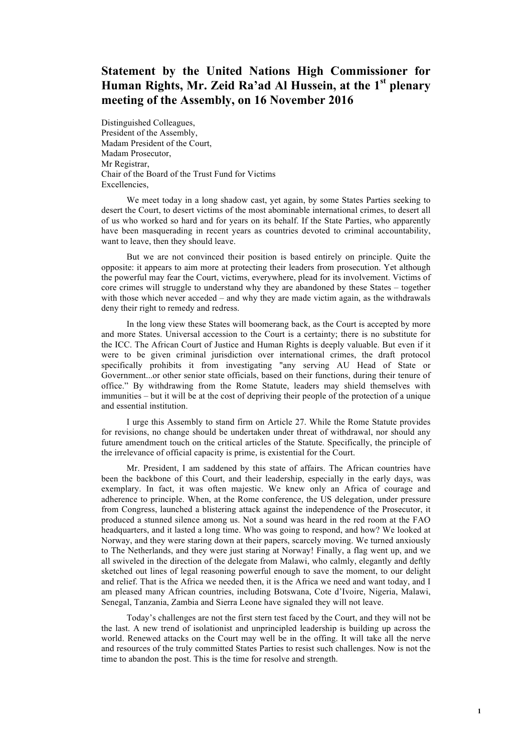## **Statement by the United Nations High Commissioner for Human Rights, Mr. Zeid Ra'ad Al Hussein, at the 1st plenary meeting of the Assembly, on 16 November 2016**

Distinguished Colleagues, President of the Assembly, Madam President of the Court, Madam Prosecutor, Mr Registrar, Chair of the Board of the Trust Fund for Victims Excellencies,

We meet today in a long shadow cast, yet again, by some States Parties seeking to desert the Court, to desert victims of the most abominable international crimes, to desert all of us who worked so hard and for years on its behalf. If the State Parties, who apparently have been masquerading in recent years as countries devoted to criminal accountability, want to leave, then they should leave.

But we are not convinced their position is based entirely on principle. Quite the opposite: it appears to aim more at protecting their leaders from prosecution. Yet although the powerful may fear the Court, victims, everywhere, plead for its involvement. Victims of core crimes will struggle to understand why they are abandoned by these States – together with those which never acceded – and why they are made victim again, as the withdrawals deny their right to remedy and redress.

In the long view these States will boomerang back, as the Court is accepted by more and more States. Universal accession to the Court is a certainty; there is no substitute for the ICC. The African Court of Justice and Human Rights is deeply valuable. But even if it were to be given criminal jurisdiction over international crimes, the draft protocol specifically prohibits it from investigating "any serving AU Head of State or Government...or other senior state officials, based on their functions, during their tenure of office." By withdrawing from the Rome Statute, leaders may shield themselves with immunities – but it will be at the cost of depriving their people of the protection of a unique and essential institution.

I urge this Assembly to stand firm on Article 27. While the Rome Statute provides for revisions, no change should be undertaken under threat of withdrawal, nor should any future amendment touch on the critical articles of the Statute. Specifically, the principle of the irrelevance of official capacity is prime, is existential for the Court.

Mr. President, I am saddened by this state of affairs. The African countries have been the backbone of this Court, and their leadership, especially in the early days, was exemplary. In fact, it was often majestic. We knew only an Africa of courage and adherence to principle. When, at the Rome conference, the US delegation, under pressure from Congress, launched a blistering attack against the independence of the Prosecutor, it produced a stunned silence among us. Not a sound was heard in the red room at the FAO headquarters, and it lasted a long time. Who was going to respond, and how? We looked at Norway, and they were staring down at their papers, scarcely moving. We turned anxiously to The Netherlands, and they were just staring at Norway! Finally, a flag went up, and we all swiveled in the direction of the delegate from Malawi, who calmly, elegantly and deftly sketched out lines of legal reasoning powerful enough to save the moment, to our delight and relief. That is the Africa we needed then, it is the Africa we need and want today, and I am pleased many African countries, including Botswana, Cote d'Ivoire, Nigeria, Malawi, Senegal, Tanzania, Zambia and Sierra Leone have signaled they will not leave.

Today's challenges are not the first stern test faced by the Court, and they will not be the last. A new trend of isolationist and unprincipled leadership is building up across the world. Renewed attacks on the Court may well be in the offing. It will take all the nerve and resources of the truly committed States Parties to resist such challenges. Now is not the time to abandon the post. This is the time for resolve and strength.